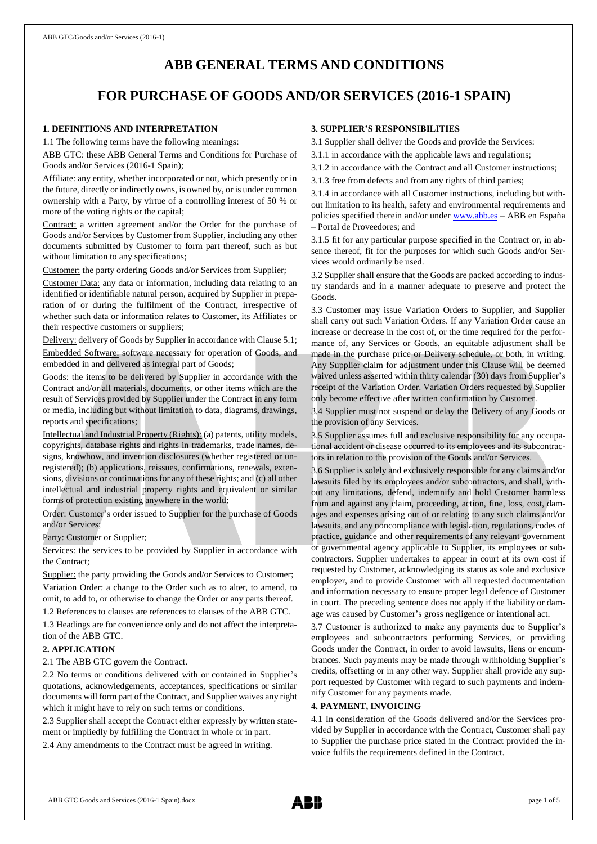# **ABB GENERAL TERMS AND CONDITIONS**

# **FOR PURCHASE OF GOODS AND/OR SERVICES (2016-1 SPAIN)**

## **1. DEFINITIONS AND INTERPRETATION**

1.1 The following terms have the following meanings:

ABB GTC: these ABB General Terms and Conditions for Purchase of Goods and/or Services (2016-1 Spain);

Affiliate: any entity, whether incorporated or not, which presently or in the future, directly or indirectly owns, is owned by, or is under common ownership with a Party, by virtue of a controlling interest of 50 % or more of the voting rights or the capital;

Contract: a written agreement and/or the Order for the purchase of Goods and/or Services by Customer from Supplier, including any other documents submitted by Customer to form part thereof, such as but without limitation to any specifications;

Customer: the party ordering Goods and/or Services from Supplier;

Customer Data: any data or information, including data relating to an identified or identifiable natural person, acquired by Supplier in preparation of or during the fulfilment of the Contract, irrespective of whether such data or information relates to Customer, its Affiliates or their respective customers or suppliers;

Delivery: delivery of Goods by Supplier in accordance with Clause 5.1; Embedded Software: software necessary for operation of Goods, and embedded in and delivered as integral part of Goods;

Goods: the items to be delivered by Supplier in accordance with the Contract and/or all materials, documents, or other items which are the result of Services provided by Supplier under the Contract in any form or media, including but without limitation to data, diagrams, drawings, reports and specifications;

Intellectual and Industrial Property (Rights): (a) patents, utility models, copyrights, database rights and rights in trademarks, trade names, designs, knowhow, and invention disclosures (whether registered or unregistered); (b) applications, reissues, confirmations, renewals, extensions, divisions or continuations for any of these rights; and (c) all other intellectual and industrial property rights and equivalent or similar forms of protection existing anywhere in the world;

Order: Customer's order issued to Supplier for the purchase of Goods and/or Services;

Party: Customer or Supplier;

Services: the services to be provided by Supplier in accordance with the Contract;

Supplier: the party providing the Goods and/or Services to Customer; Variation Order: a change to the Order such as to alter, to amend, to omit, to add to, or otherwise to change the Order or any parts thereof. 1.2 References to clauses are references to clauses of the ABB GTC.

1.3 Headings are for convenience only and do not affect the interpreta-

tion of the ABB GTC.

## **2. APPLICATION**

2.1 The ABB GTC govern the Contract.

2.2 No terms or conditions delivered with or contained in Supplier's quotations, acknowledgements, acceptances, specifications or similar documents will form part of the Contract, and Supplier waives any right which it might have to rely on such terms or conditions.

2.3 Supplier shall accept the Contract either expressly by written statement or impliedly by fulfilling the Contract in whole or in part.

2.4 Any amendments to the Contract must be agreed in writing.

## **3. SUPPLIER'S RESPONSIBILITIES**

3.1 Supplier shall deliver the Goods and provide the Services:

3.1.1 in accordance with the applicable laws and regulations;

3.1.2 in accordance with the Contract and all Customer instructions;

3.1.3 free from defects and from any rights of third parties;

3.1.4 in accordance with all Customer instructions, including but without limitation to its health, safety and environmental requirements and policies specified therein and/or under [www.abb.es](http://www.abb.es/) – ABB en España – Portal de Proveedores; and

3.1.5 fit for any particular purpose specified in the Contract or, in absence thereof, fit for the purposes for which such Goods and/or Services would ordinarily be used.

3.2 Supplier shall ensure that the Goods are packed according to industry standards and in a manner adequate to preserve and protect the Goods.

3.3 Customer may issue Variation Orders to Supplier, and Supplier shall carry out such Variation Orders. If any Variation Order cause an increase or decrease in the cost of, or the time required for the performance of, any Services or Goods, an equitable adjustment shall be made in the purchase price or Delivery schedule, or both, in writing. Any Supplier claim for adjustment under this Clause will be deemed waived unless asserted within thirty calendar (30) days from Supplier's receipt of the Variation Order. Variation Orders requested by Supplier only become effective after written confirmation by Customer.

3.4 Supplier must not suspend or delay the Delivery of any Goods or the provision of any Services.

3.5 Supplier assumes full and exclusive responsibility for any occupational accident or disease occurred to its employees and its subcontractors in relation to the provision of the Goods and/or Services.

3.6 Supplier is solely and exclusively responsible for any claims and/or lawsuits filed by its employees and/or subcontractors, and shall, without any limitations, defend, indemnify and hold Customer harmless from and against any claim, proceeding, action, fine, loss, cost, damages and expenses arising out of or relating to any such claims and/or lawsuits, and any noncompliance with legislation, regulations, codes of practice, guidance and other requirements of any relevant government or governmental agency applicable to Supplier, its employees or subcontractors. Supplier undertakes to appear in court at its own cost if requested by Customer, acknowledging its status as sole and exclusive employer, and to provide Customer with all requested documentation and information necessary to ensure proper legal defence of Customer in court. The preceding sentence does not apply if the liability or damage was caused by Customer's gross negligence or intentional act.

3.7 Customer is authorized to make any payments due to Supplier's employees and subcontractors performing Services, or providing Goods under the Contract, in order to avoid lawsuits, liens or encumbrances. Such payments may be made through withholding Supplier's credits, offsetting or in any other way. Supplier shall provide any support requested by Customer with regard to such payments and indemnify Customer for any payments made.

## **4. PAYMENT, INVOICING**

4.1 In consideration of the Goods delivered and/or the Services provided by Supplier in accordance with the Contract, Customer shall pay to Supplier the purchase price stated in the Contract provided the invoice fulfils the requirements defined in the Contract.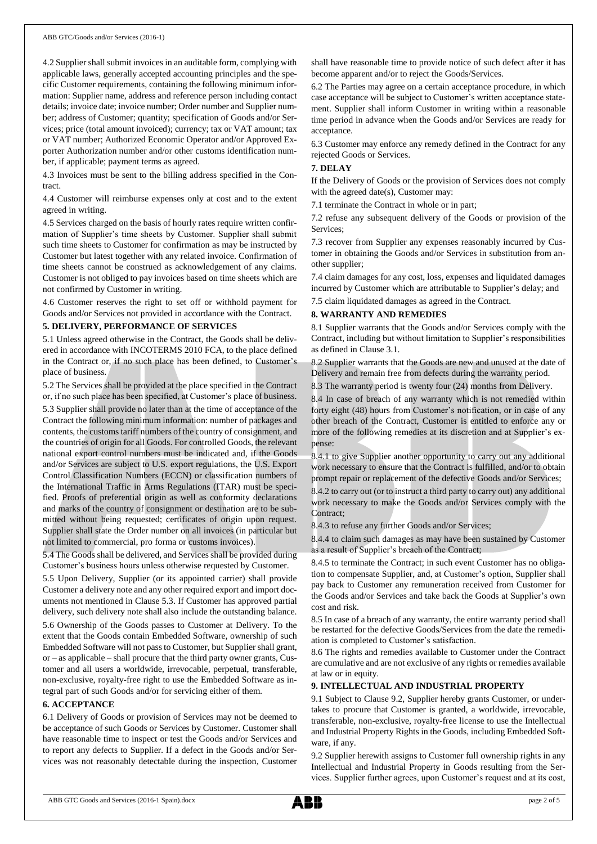4.2 Supplier shall submit invoices in an auditable form, complying with applicable laws, generally accepted accounting principles and the specific Customer requirements, containing the following minimum information: Supplier name, address and reference person including contact details; invoice date; invoice number; Order number and Supplier number; address of Customer; quantity; specification of Goods and/or Services; price (total amount invoiced); currency; tax or VAT amount; tax or VAT number; Authorized Economic Operator and/or Approved Exporter Authorization number and/or other customs identification number, if applicable; payment terms as agreed.

4.3 Invoices must be sent to the billing address specified in the Contract.

4.4 Customer will reimburse expenses only at cost and to the extent agreed in writing.

4.5 Services charged on the basis of hourly rates require written confirmation of Supplier's time sheets by Customer. Supplier shall submit such time sheets to Customer for confirmation as may be instructed by Customer but latest together with any related invoice. Confirmation of time sheets cannot be construed as acknowledgement of any claims. Customer is not obliged to pay invoices based on time sheets which are not confirmed by Customer in writing.

4.6 Customer reserves the right to set off or withhold payment for Goods and/or Services not provided in accordance with the Contract.

#### **5. DELIVERY, PERFORMANCE OF SERVICES**

5.1 Unless agreed otherwise in the Contract, the Goods shall be delivered in accordance with INCOTERMS 2010 FCA, to the place defined in the Contract or, if no such place has been defined, to Customer's place of business.

5.2 The Services shall be provided at the place specified in the Contract or, if no such place has been specified, at Customer's place of business.

5.3 Supplier shall provide no later than at the time of acceptance of the Contract the following minimum information: number of packages and contents, the customs tariff numbers of the country of consignment, and the countries of origin for all Goods. For controlled Goods, the relevant national export control numbers must be indicated and, if the Goods and/or Services are subject to U.S. export regulations, the U.S. Export Control Classification Numbers (ECCN) or classification numbers of the International Traffic in Arms Regulations (ITAR) must be specified. Proofs of preferential origin as well as conformity declarations and marks of the country of consignment or destination are to be submitted without being requested; certificates of origin upon request. Supplier shall state the Order number on all invoices (in particular but not limited to commercial, pro forma or customs invoices).

5.4 The Goods shall be delivered, and Services shall be provided during Customer's business hours unless otherwise requested by Customer.

5.5 Upon Delivery, Supplier (or its appointed carrier) shall provide Customer a delivery note and any other required export and import documents not mentioned in Clause 5.3. If Customer has approved partial delivery, such delivery note shall also include the outstanding balance.

5.6 Ownership of the Goods passes to Customer at Delivery. To the extent that the Goods contain Embedded Software, ownership of such Embedded Software will not passto Customer, but Supplier shall grant, or – as applicable – shall procure that the third party owner grants, Customer and all users a worldwide, irrevocable, perpetual, transferable, non-exclusive, royalty-free right to use the Embedded Software as integral part of such Goods and/or for servicing either of them.

## **6. ACCEPTANCE**

6.1 Delivery of Goods or provision of Services may not be deemed to be acceptance of such Goods or Services by Customer. Customer shall have reasonable time to inspect or test the Goods and/or Services and to report any defects to Supplier. If a defect in the Goods and/or Services was not reasonably detectable during the inspection, Customer shall have reasonable time to provide notice of such defect after it has become apparent and/or to reject the Goods/Services.

6.2 The Parties may agree on a certain acceptance procedure, in which case acceptance will be subject to Customer's written acceptance statement. Supplier shall inform Customer in writing within a reasonable time period in advance when the Goods and/or Services are ready for acceptance.

6.3 Customer may enforce any remedy defined in the Contract for any rejected Goods or Services.

### **7. DELAY**

If the Delivery of Goods or the provision of Services does not comply with the agreed date(s), Customer may:

7.1 terminate the Contract in whole or in part;

7.2 refuse any subsequent delivery of the Goods or provision of the Services;

7.3 recover from Supplier any expenses reasonably incurred by Customer in obtaining the Goods and/or Services in substitution from another supplier;

7.4 claim damages for any cost, loss, expenses and liquidated damages incurred by Customer which are attributable to Supplier's delay; and

7.5 claim liquidated damages as agreed in the Contract.

## **8. WARRANTY AND REMEDIES**

8.1 Supplier warrants that the Goods and/or Services comply with the Contract, including but without limitation to Supplier's responsibilities as defined in Clause 3.1.

8.2 Supplier warrants that the Goods are new and unused at the date of Delivery and remain free from defects during the warranty period.

8.3 The warranty period is twenty four (24) months from Delivery.

8.4 In case of breach of any warranty which is not remedied within forty eight (48) hours from Customer's notification, or in case of any other breach of the Contract, Customer is entitled to enforce any or more of the following remedies at its discretion and at Supplier's expense:

8.4.1 to give Supplier another opportunity to carry out any additional work necessary to ensure that the Contract is fulfilled, and/or to obtain prompt repair or replacement of the defective Goods and/or Services;

8.4.2 to carry out (or to instruct a third party to carry out) any additional work necessary to make the Goods and/or Services comply with the Contract;

8.4.3 to refuse any further Goods and/or Services;

8.4.4 to claim such damages as may have been sustained by Customer as a result of Supplier's breach of the Contract;

8.4.5 to terminate the Contract; in such event Customer has no obligation to compensate Supplier, and, at Customer's option, Supplier shall pay back to Customer any remuneration received from Customer for the Goods and/or Services and take back the Goods at Supplier's own cost and risk.

8.5 In case of a breach of any warranty, the entire warranty period shall be restarted for the defective Goods/Services from the date the remediation is completed to Customer's satisfaction.

8.6 The rights and remedies available to Customer under the Contract are cumulative and are not exclusive of any rights or remedies available at law or in equity.

## **9. INTELLECTUAL AND INDUSTRIAL PROPERTY**

9.1 Subject to Clause 9.2, Supplier hereby grants Customer, or undertakes to procure that Customer is granted, a worldwide, irrevocable, transferable, non-exclusive, royalty-free license to use the Intellectual and Industrial Property Rights in the Goods, including Embedded Software, if any.

9.2 Supplier herewith assigns to Customer full ownership rights in any Intellectual and Industrial Property in Goods resulting from the Services. Supplier further agrees, upon Customer's request and at its cost,

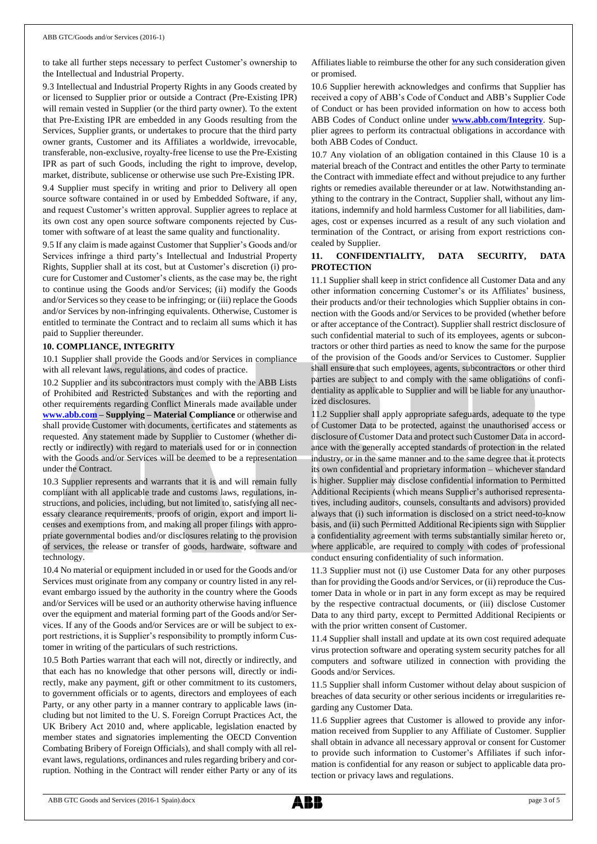to take all further steps necessary to perfect Customer's ownership to the Intellectual and Industrial Property.

9.3 Intellectual and Industrial Property Rights in any Goods created by or licensed to Supplier prior or outside a Contract (Pre-Existing IPR) will remain vested in Supplier (or the third party owner). To the extent that Pre-Existing IPR are embedded in any Goods resulting from the Services, Supplier grants, or undertakes to procure that the third party owner grants, Customer and its Affiliates a worldwide, irrevocable, transferable, non-exclusive, royalty-free license to use the Pre-Existing IPR as part of such Goods, including the right to improve, develop, market, distribute, sublicense or otherwise use such Pre-Existing IPR.

9.4 Supplier must specify in writing and prior to Delivery all open source software contained in or used by Embedded Software, if any, and request Customer's written approval. Supplier agrees to replace at its own cost any open source software components rejected by Customer with software of at least the same quality and functionality.

9.5 If any claim is made against Customer that Supplier's Goods and/or Services infringe a third party's Intellectual and Industrial Property Rights, Supplier shall at its cost, but at Customer's discretion (i) procure for Customer and Customer's clients, as the case may be, the right to continue using the Goods and/or Services; (ii) modify the Goods and/or Services so they cease to be infringing; or (iii) replace the Goods and/or Services by non-infringing equivalents. Otherwise, Customer is entitled to terminate the Contract and to reclaim all sums which it has paid to Supplier thereunder.

### **10. COMPLIANCE, INTEGRITY**

10.1 Supplier shall provide the Goods and/or Services in compliance with all relevant laws, regulations, and codes of practice.

10.2 Supplier and its subcontractors must comply with the ABB Lists of Prohibited and Restricted Substances and with the reporting and other requirements regarding Conflict Minerals made available under **[www.abb.com](http://www.abb.com/) – Supplying – Material Compliance** or otherwise and shall provide Customer with documents, certificates and statements as requested. Any statement made by Supplier to Customer (whether directly or indirectly) with regard to materials used for or in connection with the Goods and/or Services will be deemed to be a representation under the Contract.

10.3 Supplier represents and warrants that it is and will remain fully compliant with all applicable trade and customs laws, regulations, instructions, and policies, including, but not limited to, satisfying all necessary clearance requirements, proofs of origin, export and import licenses and exemptions from, and making all proper filings with appropriate governmental bodies and/or disclosures relating to the provision of services, the release or transfer of goods, hardware, software and technology.

10.4 No material or equipment included in or used for the Goods and/or Services must originate from any company or country listed in any relevant embargo issued by the authority in the country where the Goods and/or Services will be used or an authority otherwise having influence over the equipment and material forming part of the Goods and/or Services. If any of the Goods and/or Services are or will be subject to export restrictions, it is Supplier's responsibility to promptly inform Customer in writing of the particulars of such restrictions.

10.5 Both Parties warrant that each will not, directly or indirectly, and that each has no knowledge that other persons will, directly or indirectly, make any payment, gift or other commitment to its customers, to government officials or to agents, directors and employees of each Party, or any other party in a manner contrary to applicable laws (including but not limited to the U. S. Foreign Corrupt Practices Act, the UK Bribery Act 2010 and, where applicable, legislation enacted by member states and signatories implementing the OECD Convention Combating Bribery of Foreign Officials), and shall comply with all relevant laws, regulations, ordinances and rules regarding bribery and corruption. Nothing in the Contract will render either Party or any of its

Affiliates liable to reimburse the other for any such consideration given or promised.

10.6 Supplier herewith acknowledges and confirms that Supplier has received a copy of ABB's Code of Conduct and ABB's Supplier Code of Conduct or has been provided information on how to access both ABB Codes of Conduct online under **[www.abb.com/Integrity](http://www.abb.com/Integrity)**. Supplier agrees to perform its contractual obligations in accordance with both ABB Codes of Conduct.

10.7 Any violation of an obligation contained in this Clause 10 is a material breach of the Contract and entitles the other Party to terminate the Contract with immediate effect and without prejudice to any further rights or remedies available thereunder or at law. Notwithstanding anything to the contrary in the Contract, Supplier shall, without any limitations, indemnify and hold harmless Customer for all liabilities, damages, cost or expenses incurred as a result of any such violation and termination of the Contract, or arising from export restrictions concealed by Supplier.

## **11. CONFIDENTIALITY, DATA SECURITY, DATA PROTECTION**

11.1 Supplier shall keep in strict confidence all Customer Data and any other information concerning Customer's or its Affiliates' business, their products and/or their technologies which Supplier obtains in connection with the Goods and/or Services to be provided (whether before or after acceptance of the Contract). Supplier shall restrict disclosure of such confidential material to such of its employees, agents or subcontractors or other third parties as need to know the same for the purpose of the provision of the Goods and/or Services to Customer. Supplier shall ensure that such employees, agents, subcontractors or other third parties are subject to and comply with the same obligations of confidentiality as applicable to Supplier and will be liable for any unauthorized disclosures.

11.2 Supplier shall apply appropriate safeguards, adequate to the type of Customer Data to be protected, against the unauthorised access or disclosure of Customer Data and protect such Customer Data in accordance with the generally accepted standards of protection in the related industry, or in the same manner and to the same degree that it protects its own confidential and proprietary information – whichever standard is higher. Supplier may disclose confidential information to Permitted Additional Recipients (which means Supplier's authorised representatives, including auditors, counsels, consultants and advisors) provided always that (i) such information is disclosed on a strict need-to-know basis, and (ii) such Permitted Additional Recipients sign with Supplier a confidentiality agreement with terms substantially similar hereto or, where applicable, are required to comply with codes of professional conduct ensuring confidentiality of such information.

11.3 Supplier must not (i) use Customer Data for any other purposes than for providing the Goods and/or Services, or (ii) reproduce the Customer Data in whole or in part in any form except as may be required by the respective contractual documents, or (iii) disclose Customer Data to any third party, except to Permitted Additional Recipients or with the prior written consent of Customer.

11.4 Supplier shall install and update at its own cost required adequate virus protection software and operating system security patches for all computers and software utilized in connection with providing the Goods and/or Services.

11.5 Supplier shall inform Customer without delay about suspicion of breaches of data security or other serious incidents or irregularities regarding any Customer Data.

11.6 Supplier agrees that Customer is allowed to provide any information received from Supplier to any Affiliate of Customer. Supplier shall obtain in advance all necessary approval or consent for Customer to provide such information to Customer's Affiliates if such information is confidential for any reason or subject to applicable data protection or privacy laws and regulations.

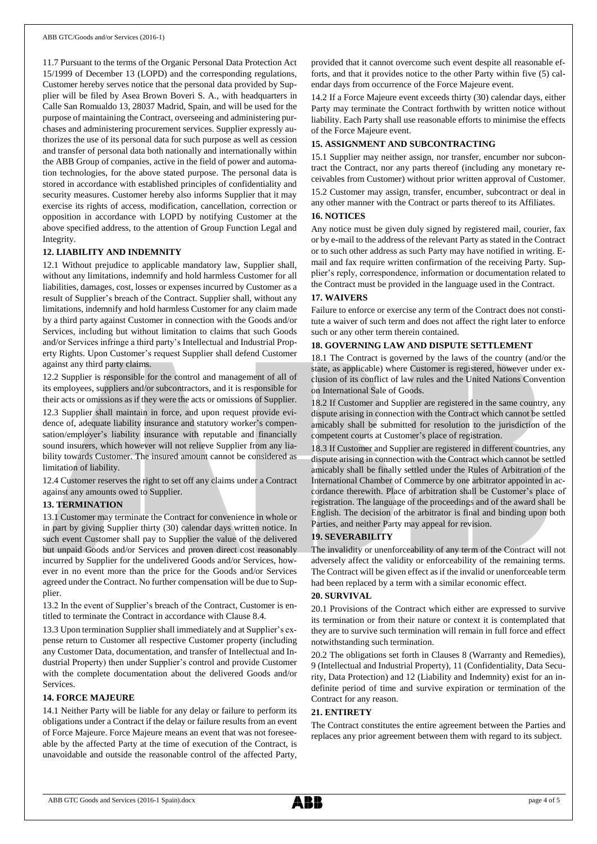11.7 Pursuant to the terms of the Organic Personal Data Protection Act 15/1999 of December 13 (LOPD) and the corresponding regulations, Customer hereby serves notice that the personal data provided by Supplier will be filed by Asea Brown Boveri S. A., with headquarters in Calle San Romualdo 13, 28037 Madrid, Spain, and will be used for the purpose of maintaining the Contract, overseeing and administering purchases and administering procurement services. Supplier expressly authorizes the use of its personal data for such purpose as well as cession and transfer of personal data both nationally and internationally within the ABB Group of companies, active in the field of power and automation technologies, for the above stated purpose. The personal data is stored in accordance with established principles of confidentiality and security measures. Customer hereby also informs Supplier that it may exercise its rights of access, modification, cancellation, correction or opposition in accordance with LOPD by notifying Customer at the above specified address, to the attention of Group Function Legal and Integrity.

## **12. LIABILITY AND INDEMNITY**

12.1 Without prejudice to applicable mandatory law, Supplier shall, without any limitations, indemnify and hold harmless Customer for all liabilities, damages, cost, losses or expenses incurred by Customer as a result of Supplier's breach of the Contract. Supplier shall, without any limitations, indemnify and hold harmless Customer for any claim made by a third party against Customer in connection with the Goods and/or Services, including but without limitation to claims that such Goods and/or Services infringe a third party's Intellectual and Industrial Property Rights. Upon Customer's request Supplier shall defend Customer against any third party claims.

12.2 Supplier is responsible for the control and management of all of its employees, suppliers and/or subcontractors, and it is responsible for their acts or omissions as if they were the acts or omissions of Supplier.

12.3 Supplier shall maintain in force, and upon request provide evidence of, adequate liability insurance and statutory worker's compensation/employer's liability insurance with reputable and financially sound insurers, which however will not relieve Supplier from any liability towards Customer. The insured amount cannot be considered as limitation of liability.

12.4 Customer reserves the right to set off any claims under a Contract against any amounts owed to Supplier.

## **13. TERMINATION**

13.1 Customer may terminate the Contract for convenience in whole or in part by giving Supplier thirty (30) calendar days written notice. In such event Customer shall pay to Supplier the value of the delivered but unpaid Goods and/or Services and proven direct cost reasonably incurred by Supplier for the undelivered Goods and/or Services, however in no event more than the price for the Goods and/or Services agreed under the Contract. No further compensation will be due to Supplier.

13.2 In the event of Supplier's breach of the Contract, Customer is entitled to terminate the Contract in accordance with Clause 8.4.

13.3 Upon termination Supplier shall immediately and at Supplier's expense return to Customer all respective Customer property (including any Customer Data, documentation, and transfer of Intellectual and Industrial Property) then under Supplier's control and provide Customer with the complete documentation about the delivered Goods and/or Services.

## **14. FORCE MAJEURE**

14.1 Neither Party will be liable for any delay or failure to perform its obligations under a Contract if the delay or failure results from an event of Force Majeure. Force Majeure means an event that was not foreseeable by the affected Party at the time of execution of the Contract, is unavoidable and outside the reasonable control of the affected Party, provided that it cannot overcome such event despite all reasonable efforts, and that it provides notice to the other Party within five (5) calendar days from occurrence of the Force Majeure event.

14.2 If a Force Majeure event exceeds thirty (30) calendar days, either Party may terminate the Contract forthwith by written notice without liability. Each Party shall use reasonable efforts to minimise the effects of the Force Majeure event.

## **15. ASSIGNMENT AND SUBCONTRACTING**

15.1 Supplier may neither assign, nor transfer, encumber nor subcontract the Contract, nor any parts thereof (including any monetary receivables from Customer) without prior written approval of Customer. 15.2 Customer may assign, transfer, encumber, subcontract or deal in any other manner with the Contract or parts thereof to its Affiliates.

#### **16. NOTICES**

Any notice must be given duly signed by registered mail, courier, fax or by e-mail to the address of the relevant Party as stated in the Contract or to such other address as such Party may have notified in writing. Email and fax require written confirmation of the receiving Party. Supplier's reply, correspondence, information or documentation related to the Contract must be provided in the language used in the Contract.

#### **17. WAIVERS**

Failure to enforce or exercise any term of the Contract does not constitute a waiver of such term and does not affect the right later to enforce such or any other term therein contained.

#### **18. GOVERNING LAW AND DISPUTE SETTLEMENT**

18.1 The Contract is governed by the laws of the country (and/or the state, as applicable) where Customer is registered, however under exclusion of its conflict of law rules and the United Nations Convention on International Sale of Goods.

18.2 If Customer and Supplier are registered in the same country, any dispute arising in connection with the Contract which cannot be settled amicably shall be submitted for resolution to the jurisdiction of the competent courts at Customer's place of registration.

18.3 If Customer and Supplier are registered in different countries, any dispute arising in connection with the Contract which cannot be settled amicably shall be finally settled under the Rules of Arbitration of the International Chamber of Commerce by one arbitrator appointed in accordance therewith. Place of arbitration shall be Customer's place of registration. The language of the proceedings and of the award shall be English. The decision of the arbitrator is final and binding upon both Parties, and neither Party may appeal for revision.

#### **19. SEVERABILITY**

The invalidity or unenforceability of any term of the Contract will not adversely affect the validity or enforceability of the remaining terms. The Contract will be given effect as if the invalid or unenforceable term had been replaced by a term with a similar economic effect.

## **20. SURVIVAL**

20.1 Provisions of the Contract which either are expressed to survive its termination or from their nature or context it is contemplated that they are to survive such termination will remain in full force and effect notwithstanding such termination.

20.2 The obligations set forth in Clauses 8 (Warranty and Remedies), 9 (Intellectual and Industrial Property), 11 (Confidentiality, Data Security, Data Protection) and 12 (Liability and Indemnity) exist for an indefinite period of time and survive expiration or termination of the Contract for any reason.

#### **21. ENTIRETY**

The Contract constitutes the entire agreement between the Parties and replaces any prior agreement between them with regard to its subject.